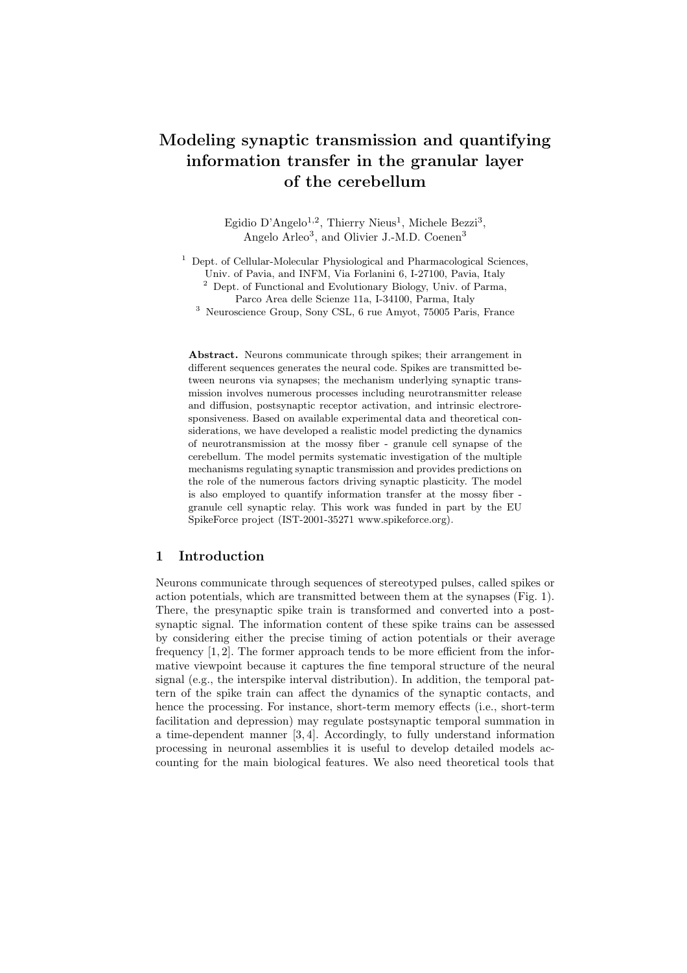# Modeling synaptic transmission and quantifying information transfer in the granular layer of the cerebellum

Egidio D'Angelo<sup>1,2</sup>, Thierry Nieus<sup>1</sup>, Michele Bezzi<sup>3</sup>, Angelo Arleo<sup>3</sup>, and Olivier J.-M.D. Coenen<sup>3</sup>

<sup>1</sup> Dept. of Cellular-Molecular Physiological and Pharmacological Sciences,

Univ. of Pavia, and INFM, Via Forlanini 6, I-27100, Pavia, Italy

<sup>2</sup> Dept. of Functional and Evolutionary Biology, Univ. of Parma,

Parco Area delle Scienze 11a, I-34100, Parma, Italy

<sup>3</sup> Neuroscience Group, Sony CSL, 6 rue Amyot, 75005 Paris, France

Abstract. Neurons communicate through spikes; their arrangement in different sequences generates the neural code. Spikes are transmitted between neurons via synapses; the mechanism underlying synaptic transmission involves numerous processes including neurotransmitter release and diffusion, postsynaptic receptor activation, and intrinsic electroresponsiveness. Based on available experimental data and theoretical considerations, we have developed a realistic model predicting the dynamics of neurotransmission at the mossy fiber - granule cell synapse of the cerebellum. The model permits systematic investigation of the multiple mechanisms regulating synaptic transmission and provides predictions on the role of the numerous factors driving synaptic plasticity. The model is also employed to quantify information transfer at the mossy fiber granule cell synaptic relay. This work was funded in part by the EU SpikeForce project (IST-2001-35271 www.spikeforce.org).

### 1 Introduction

Neurons communicate through sequences of stereotyped pulses, called spikes or action potentials, which are transmitted between them at the synapses (Fig. 1). There, the presynaptic spike train is transformed and converted into a postsynaptic signal. The information content of these spike trains can be assessed by considering either the precise timing of action potentials or their average frequency [1, 2]. The former approach tends to be more efficient from the informative viewpoint because it captures the fine temporal structure of the neural signal (e.g., the interspike interval distribution). In addition, the temporal pattern of the spike train can affect the dynamics of the synaptic contacts, and hence the processing. For instance, short-term memory effects (i.e., short-term facilitation and depression) may regulate postsynaptic temporal summation in a time-dependent manner [3, 4]. Accordingly, to fully understand information processing in neuronal assemblies it is useful to develop detailed models accounting for the main biological features. We also need theoretical tools that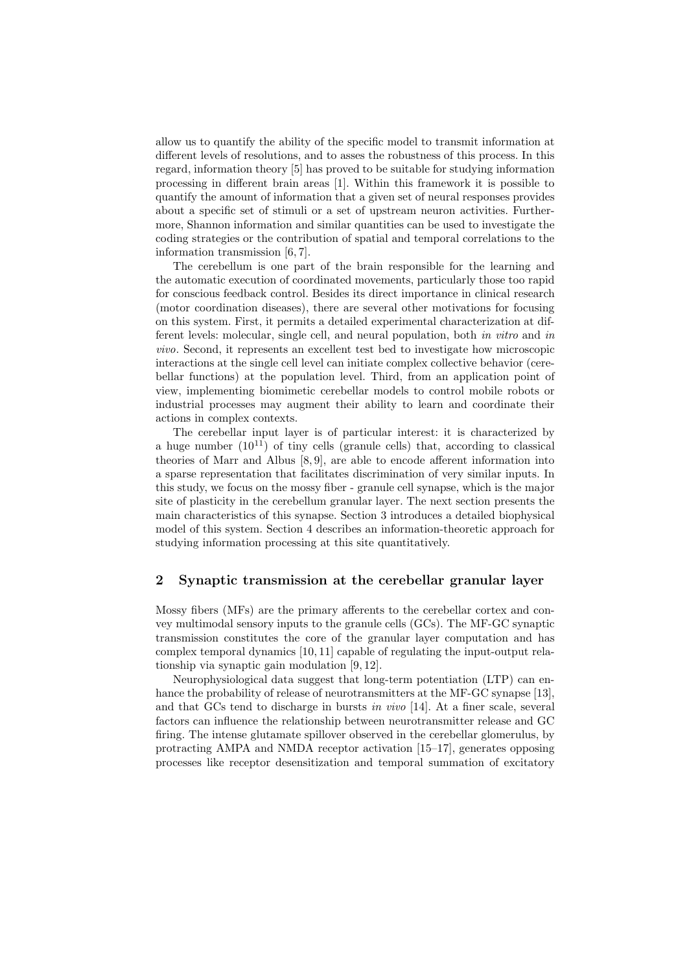allow us to quantify the ability of the specific model to transmit information at different levels of resolutions, and to asses the robustness of this process. In this regard, information theory [5] has proved to be suitable for studying information processing in different brain areas [1]. Within this framework it is possible to quantify the amount of information that a given set of neural responses provides about a specific set of stimuli or a set of upstream neuron activities. Furthermore, Shannon information and similar quantities can be used to investigate the coding strategies or the contribution of spatial and temporal correlations to the information transmission [6, 7].

The cerebellum is one part of the brain responsible for the learning and the automatic execution of coordinated movements, particularly those too rapid for conscious feedback control. Besides its direct importance in clinical research (motor coordination diseases), there are several other motivations for focusing on this system. First, it permits a detailed experimental characterization at different levels: molecular, single cell, and neural population, both in vitro and in vivo. Second, it represents an excellent test bed to investigate how microscopic interactions at the single cell level can initiate complex collective behavior (cerebellar functions) at the population level. Third, from an application point of view, implementing biomimetic cerebellar models to control mobile robots or industrial processes may augment their ability to learn and coordinate their actions in complex contexts.

The cerebellar input layer is of particular interest: it is characterized by a huge number  $(10^{11})$  of tiny cells (granule cells) that, according to classical theories of Marr and Albus [8, 9], are able to encode afferent information into a sparse representation that facilitates discrimination of very similar inputs. In this study, we focus on the mossy fiber - granule cell synapse, which is the major site of plasticity in the cerebellum granular layer. The next section presents the main characteristics of this synapse. Section 3 introduces a detailed biophysical model of this system. Section 4 describes an information-theoretic approach for studying information processing at this site quantitatively.

#### 2 Synaptic transmission at the cerebellar granular layer

Mossy fibers (MFs) are the primary afferents to the cerebellar cortex and convey multimodal sensory inputs to the granule cells (GCs). The MF-GC synaptic transmission constitutes the core of the granular layer computation and has complex temporal dynamics [10, 11] capable of regulating the input-output relationship via synaptic gain modulation [9, 12].

Neurophysiological data suggest that long-term potentiation (LTP) can enhance the probability of release of neurotransmitters at the MF-GC synapse [13], and that GCs tend to discharge in bursts in vivo [14]. At a finer scale, several factors can influence the relationship between neurotransmitter release and GC firing. The intense glutamate spillover observed in the cerebellar glomerulus, by protracting AMPA and NMDA receptor activation [15–17], generates opposing processes like receptor desensitization and temporal summation of excitatory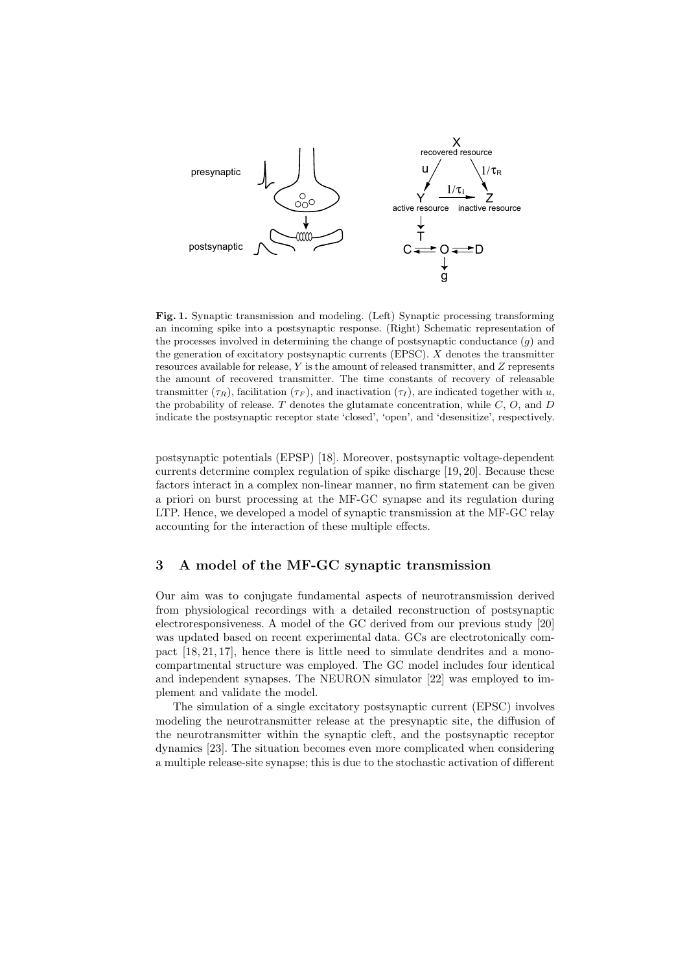

Fig. 1. Synaptic transmission and modeling. (Left) Synaptic processing transforming an incoming spike into a postsynaptic response. (Right) Schematic representation of the processes involved in determining the change of postsynaptic conductance  $(g)$  and the generation of excitatory postsynaptic currents (EPSC). X denotes the transmitter resources available for release,  $Y$  is the amount of released transmitter, and  $Z$  represents the amount of recovered transmitter. The time constants of recovery of releasable transmitter  $(\tau_R)$ , facilitation  $(\tau_F)$ , and inactivation  $(\tau_I)$ , are indicated together with u, the probability of release.  $T$  denotes the glutamate concentration, while  $C, O$ , and  $D$ indicate the postsynaptic receptor state 'closed', 'open', and 'desensitize', respectively.

postsynaptic potentials (EPSP) [18]. Moreover, postsynaptic voltage-dependent currents determine complex regulation of spike discharge [19, 20]. Because these factors interact in a complex non-linear manner, no firm statement can be given a priori on burst processing at the MF-GC synapse and its regulation during LTP. Hence, we developed a model of synaptic transmission at the MF-GC relay accounting for the interaction of these multiple effects.

## 3 A model of the MF-GC synaptic transmission

Our aim was to conjugate fundamental aspects of neurotransmission derived from physiological recordings with a detailed reconstruction of postsynaptic electroresponsiveness. A model of the GC derived from our previous study [20] was updated based on recent experimental data. GCs are electrotonically compact [18, 21, 17], hence there is little need to simulate dendrites and a monocompartmental structure was employed. The GC model includes four identical and independent synapses. The NEURON simulator [22] was employed to implement and validate the model.

The simulation of a single excitatory postsynaptic current (EPSC) involves modeling the neurotransmitter release at the presynaptic site, the diffusion of the neurotransmitter within the synaptic cleft, and the postsynaptic receptor dynamics [23]. The situation becomes even more complicated when considering a multiple release-site synapse; this is due to the stochastic activation of different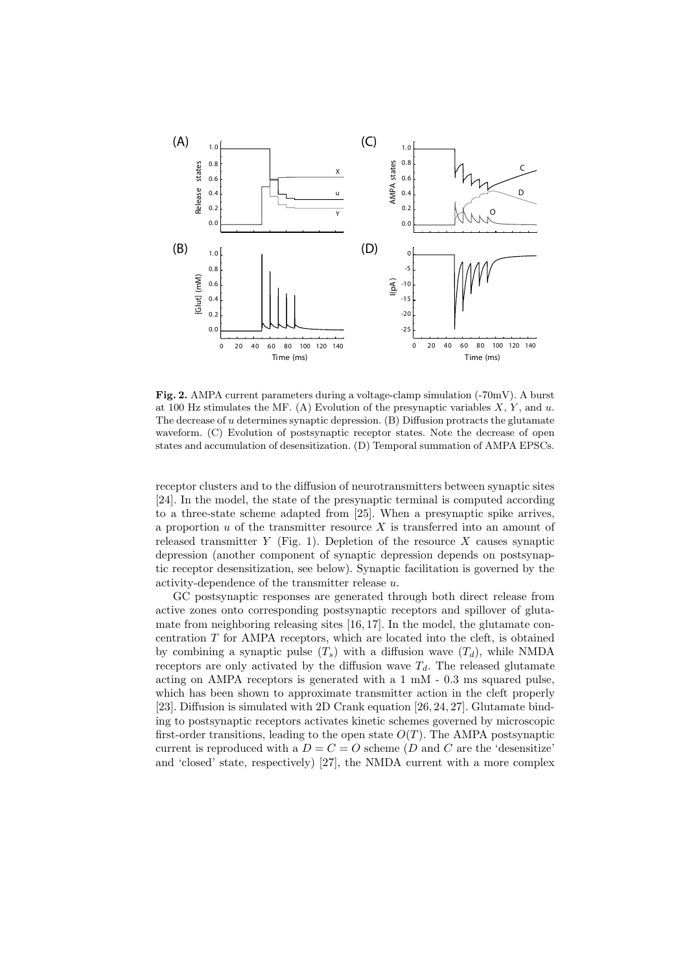

Fig. 2. AMPA current parameters during a voltage-clamp simulation (-70mV). A burst at 100 Hz stimulates the MF. (A) Evolution of the presynaptic variables  $X, Y$ , and  $u$ . The decrease of  $u$  determines synaptic depression.  $(B)$  Diffusion protracts the glutamate waveform. (C) Evolution of postsynaptic receptor states. Note the decrease of open states and accumulation of desensitization. (D) Temporal summation of AMPA EPSCs.

receptor clusters and to the diffusion of neurotransmitters between synaptic sites [24]. In the model, the state of the presynaptic terminal is computed according to a three-state scheme adapted from [25]. When a presynaptic spike arrives, a proportion  $u$  of the transmitter resource  $X$  is transferred into an amount of released transmitter  $Y$  (Fig. 1). Depletion of the resource  $X$  causes synaptic depression (another component of synaptic depression depends on postsynaptic receptor desensitization, see below). Synaptic facilitation is governed by the activity-dependence of the transmitter release u.

GC postsynaptic responses are generated through both direct release from active zones onto corresponding postsynaptic receptors and spillover of glutamate from neighboring releasing sites [16, 17]. In the model, the glutamate concentration T for AMPA receptors, which are located into the cleft, is obtained by combining a synaptic pulse  $(T_s)$  with a diffusion wave  $(T_d)$ , while NMDA receptors are only activated by the diffusion wave  $T_d$ . The released glutamate acting on AMPA receptors is generated with a 1 mM - 0.3 ms squared pulse, which has been shown to approximate transmitter action in the cleft properly [23]. Diffusion is simulated with 2D Crank equation [26, 24, 27]. Glutamate binding to postsynaptic receptors activates kinetic schemes governed by microscopic first-order transitions, leading to the open state  $O(T)$ . The AMPA postsynaptic current is reproduced with a  $D = C = O$  scheme (D and C are the 'desensitize' and 'closed' state, respectively) [27], the NMDA current with a more complex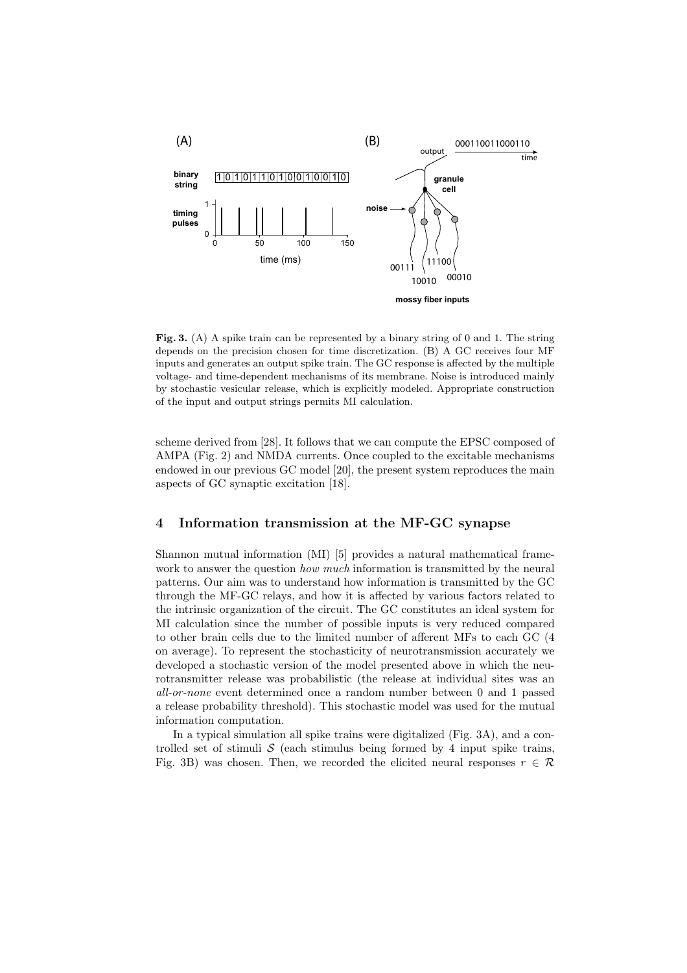

Fig. 3. (A) A spike train can be represented by a binary string of 0 and 1. The string depends on the precision chosen for time discretization. (B) A GC receives four MF inputs and generates an output spike train. The GC response is affected by the multiple voltage- and time-dependent mechanisms of its membrane. Noise is introduced mainly by stochastic vesicular release, which is explicitly modeled. Appropriate construction of the input and output strings permits MI calculation.

scheme derived from [28]. It follows that we can compute the EPSC composed of AMPA (Fig. 2) and NMDA currents. Once coupled to the excitable mechanisms endowed in our previous GC model [20], the present system reproduces the main aspects of GC synaptic excitation [18].

#### 4 Information transmission at the MF-GC synapse

Shannon mutual information (MI) [5] provides a natural mathematical framework to answer the question *how much* information is transmitted by the neural patterns. Our aim was to understand how information is transmitted by the GC through the MF-GC relays, and how it is affected by various factors related to the intrinsic organization of the circuit. The GC constitutes an ideal system for MI calculation since the number of possible inputs is very reduced compared to other brain cells due to the limited number of afferent MFs to each GC (4 on average). To represent the stochasticity of neurotransmission accurately we developed a stochastic version of the model presented above in which the neurotransmitter release was probabilistic (the release at individual sites was an all-or-none event determined once a random number between 0 and 1 passed a release probability threshold). This stochastic model was used for the mutual information computation.

In a typical simulation all spike trains were digitalized (Fig. 3A), and a controlled set of stimuli  $\mathcal S$  (each stimulus being formed by 4 input spike trains, Fig. 3B) was chosen. Then, we recorded the elicited neural responses  $r \in \mathcal{R}$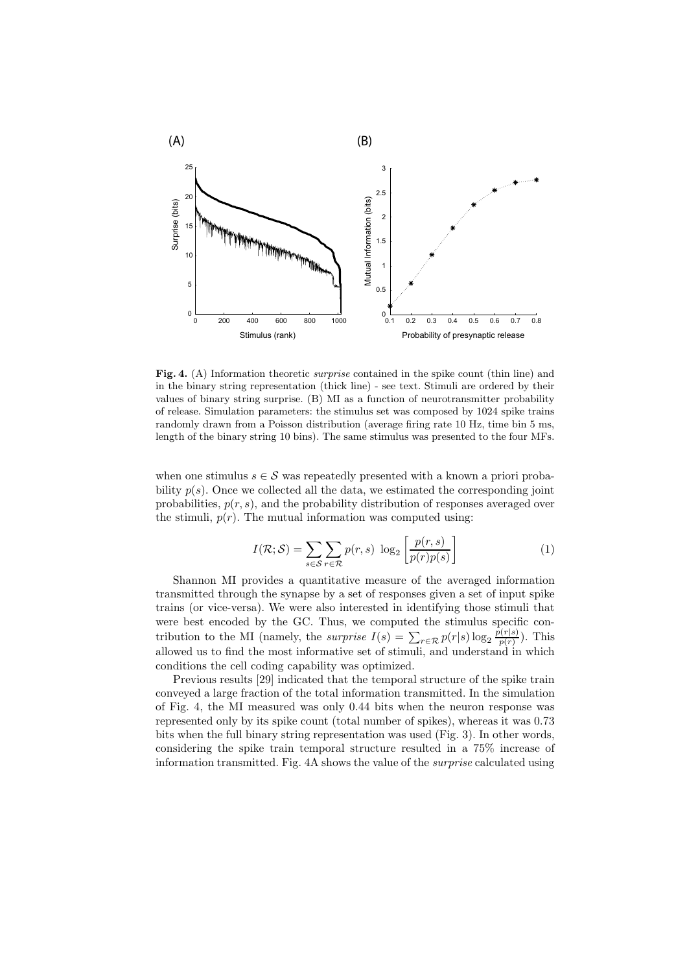

Fig. 4. (A) Information theoretic *surprise* contained in the spike count (thin line) and in the binary string representation (thick line) - see text. Stimuli are ordered by their values of binary string surprise. (B) MI as a function of neurotransmitter probability of release. Simulation parameters: the stimulus set was composed by 1024 spike trains randomly drawn from a Poisson distribution (average firing rate 10 Hz, time bin 5 ms, length of the binary string 10 bins). The same stimulus was presented to the four MFs.

when one stimulus  $s \in \mathcal{S}$  was repeatedly presented with a known a priori probability  $p(s)$ . Once we collected all the data, we estimated the corresponding joint probabilities,  $p(r, s)$ , and the probability distribution of responses averaged over the stimuli,  $p(r)$ . The mutual information was computed using:

$$
I(\mathcal{R}; \mathcal{S}) = \sum_{s \in \mathcal{S}} \sum_{r \in \mathcal{R}} p(r, s) \log_2 \left[ \frac{p(r, s)}{p(r)p(s)} \right] \tag{1}
$$

Shannon MI provides a quantitative measure of the averaged information transmitted through the synapse by a set of responses given a set of input spike trains (or vice-versa). We were also interested in identifying those stimuli that were best encoded by the GC. Thus, we computed the stimulus specific contribution to the MI (namely, the *surprise*  $I(s) = \sum_{r \in \mathcal{R}} p(r|s) \log_2 \frac{p(r|s)}{p(r)}$  $\frac{p(r|s)}{p(r)}$ ). This allowed us to find the most informative set of stimuli, and understand in which conditions the cell coding capability was optimized.

Previous results [29] indicated that the temporal structure of the spike train conveyed a large fraction of the total information transmitted. In the simulation of Fig. 4, the MI measured was only 0.44 bits when the neuron response was represented only by its spike count (total number of spikes), whereas it was 0.73 bits when the full binary string representation was used (Fig. 3). In other words, considering the spike train temporal structure resulted in a 75% increase of information transmitted. Fig. 4A shows the value of the surprise calculated using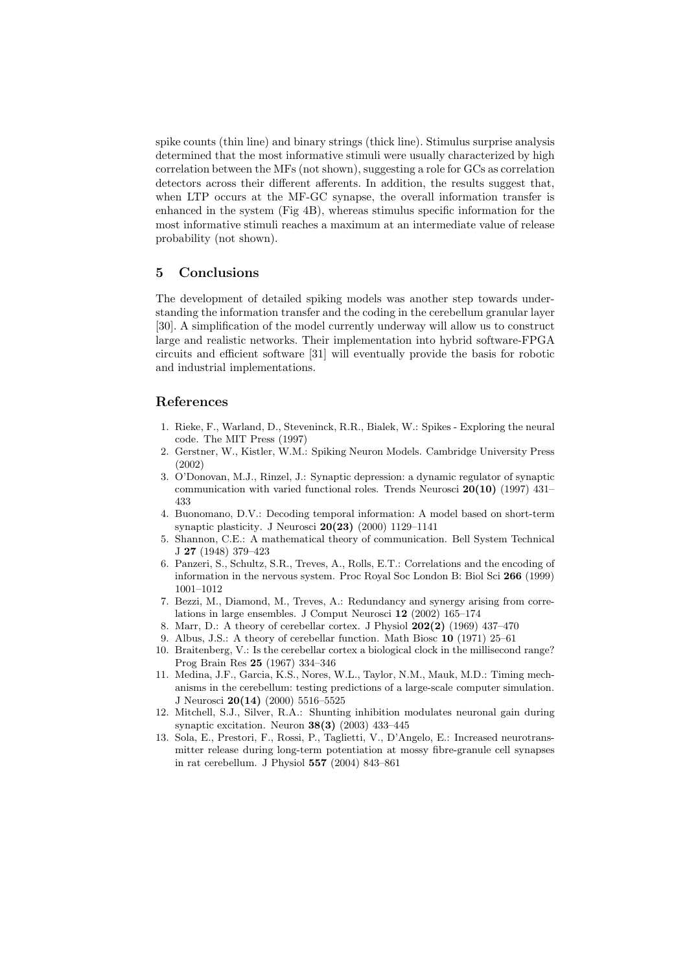spike counts (thin line) and binary strings (thick line). Stimulus surprise analysis determined that the most informative stimuli were usually characterized by high correlation between the MFs (not shown), suggesting a role for GCs as correlation detectors across their different afferents. In addition, the results suggest that, when LTP occurs at the MF-GC synapse, the overall information transfer is enhanced in the system (Fig 4B), whereas stimulus specific information for the most informative stimuli reaches a maximum at an intermediate value of release probability (not shown).

## 5 Conclusions

The development of detailed spiking models was another step towards understanding the information transfer and the coding in the cerebellum granular layer [30]. A simplification of the model currently underway will allow us to construct large and realistic networks. Their implementation into hybrid software-FPGA circuits and efficient software [31] will eventually provide the basis for robotic and industrial implementations.

#### References

- 1. Rieke, F., Warland, D., Steveninck, R.R., Bialek, W.: Spikes Exploring the neural code. The MIT Press (1997)
- 2. Gerstner, W., Kistler, W.M.: Spiking Neuron Models. Cambridge University Press (2002)
- 3. O'Donovan, M.J., Rinzel, J.: Synaptic depression: a dynamic regulator of synaptic communication with varied functional roles. Trends Neurosci 20(10) (1997) 431– 433
- 4. Buonomano, D.V.: Decoding temporal information: A model based on short-term synaptic plasticity. J Neurosci 20(23) (2000) 1129–1141
- 5. Shannon, C.E.: A mathematical theory of communication. Bell System Technical J 27 (1948) 379–423
- 6. Panzeri, S., Schultz, S.R., Treves, A., Rolls, E.T.: Correlations and the encoding of information in the nervous system. Proc Royal Soc London B: Biol Sci 266 (1999) 1001–1012
- 7. Bezzi, M., Diamond, M., Treves, A.: Redundancy and synergy arising from correlations in large ensembles. J Comput Neurosci 12 (2002) 165–174
- 8. Marr, D.: A theory of cerebellar cortex. J Physiol 202(2) (1969) 437–470
- 9. Albus, J.S.: A theory of cerebellar function. Math Biosc 10 (1971) 25–61
- 10. Braitenberg, V.: Is the cerebellar cortex a biological clock in the millisecond range? Prog Brain Res 25 (1967) 334–346
- 11. Medina, J.F., Garcia, K.S., Nores, W.L., Taylor, N.M., Mauk, M.D.: Timing mechanisms in the cerebellum: testing predictions of a large-scale computer simulation. J Neurosci 20(14) (2000) 5516–5525
- 12. Mitchell, S.J., Silver, R.A.: Shunting inhibition modulates neuronal gain during synaptic excitation. Neuron 38(3) (2003) 433–445
- 13. Sola, E., Prestori, F., Rossi, P., Taglietti, V., D'Angelo, E.: Increased neurotransmitter release during long-term potentiation at mossy fibre-granule cell synapses in rat cerebellum. J Physiol 557 (2004) 843–861